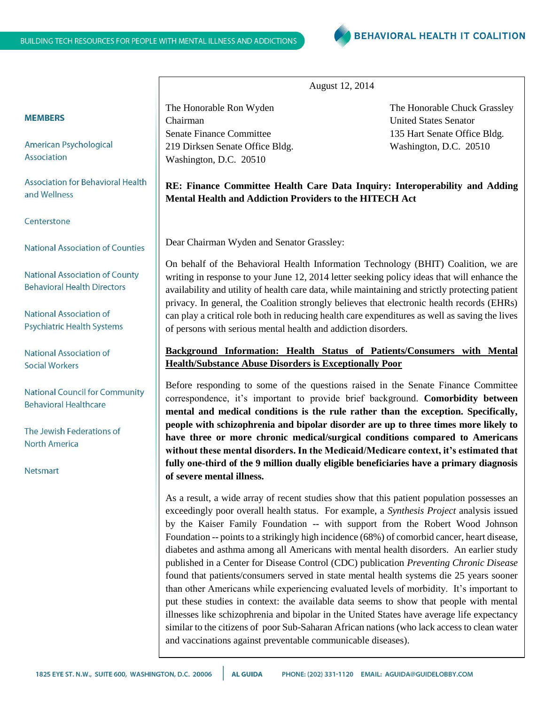

August 12, 2014

Chairman United States Senator Senate Finance Committee 135 Hart Senate Office Bldg. 219 Dirksen Senate Office Bldg. Washington, D.C. 20510 Washington, D.C. 20510

The Honorable Ron Wyden The Honorable Chuck Grassley

# **RE: Finance Committee Health Care Data Inquiry: Interoperability and Adding Mental Health and Addiction Providers to the HITECH Act**

Dear Chairman Wyden and Senator Grassley:

On behalf of the Behavioral Health Information Technology (BHIT) Coalition, we are writing in response to your June 12, 2014 letter seeking policy ideas that will enhance the availability and utility of health care data, while maintaining and strictly protecting patient privacy. In general, the Coalition strongly believes that electronic health records (EHRs) can play a critical role both in reducing health care expenditures as well as saving the lives of persons with serious mental health and addiction disorders.

## **Background Information: Health Status of Patients/Consumers with Mental Health/Substance Abuse Disorders is Exceptionally Poor**

Before responding to some of the questions raised in the Senate Finance Committee correspondence, it's important to provide brief background. **Comorbidity between mental and medical conditions is the rule rather than the exception. Specifically, people with schizophrenia and bipolar disorder are up to three times more likely to have three or more chronic medical/surgical conditions compared to Americans without these mental disorders. In the Medicaid/Medicare context, it's estimated that fully one-third of the 9 million dually eligible beneficiaries have a primary diagnosis of severe mental illness.** 

As a result, a wide array of recent studies show that this patient population possesses an exceedingly poor overall health status. For example, a *Synthesis Project* analysis issued by the Kaiser Family Foundation -- with support from the Robert Wood Johnson Foundation -- points to a strikingly high incidence (68%) of comorbid cancer, heart disease, diabetes and asthma among all Americans with mental health disorders. An earlier study published in a Center for Disease Control (CDC) publication *Preventing Chronic Disease*  found that patients/consumers served in state mental health systems die 25 years sooner than other Americans while experiencing evaluated levels of morbidity. It's important to put these studies in context: the available data seems to show that people with mental illnesses like schizophrenia and bipolar in the United States have average life expectancy similar to the citizens of poor Sub-Saharan African nations (who lack access to clean water and vaccinations against preventable communicable diseases).

### **MEMBERS**

American Psychological Association

**Association for Behavioral Health** and Wellness

#### Centerstone

National Association of Counties

**National Association of County Behavioral Health Directors** 

National Association of **Psychiatric Health Systems** 

**National Association of** Social Workers

**National Council for Community Behavioral Healthcare** 

The Jewish Federations of North America

**Netsmart**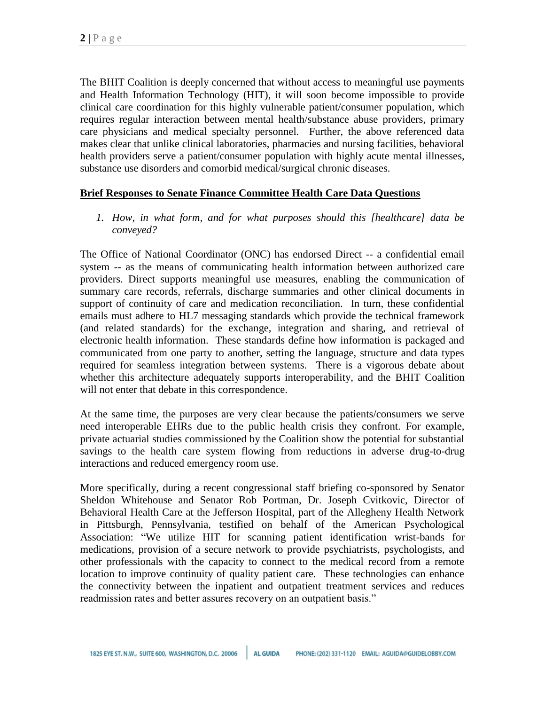The BHIT Coalition is deeply concerned that without access to meaningful use payments and Health Information Technology (HIT), it will soon become impossible to provide clinical care coordination for this highly vulnerable patient/consumer population, which requires regular interaction between mental health/substance abuse providers, primary care physicians and medical specialty personnel. Further, the above referenced data makes clear that unlike clinical laboratories, pharmacies and nursing facilities, behavioral health providers serve a patient/consumer population with highly acute mental illnesses, substance use disorders and comorbid medical/surgical chronic diseases.

## **Brief Responses to Senate Finance Committee Health Care Data Questions**

*1. How, in what form, and for what purposes should this [healthcare] data be conveyed?*

The Office of National Coordinator (ONC) has endorsed Direct -- a confidential email system -- as the means of communicating health information between authorized care providers. Direct supports meaningful use measures, enabling the communication of summary care records, referrals, discharge summaries and other clinical documents in support of continuity of care and medication reconciliation. In turn, these confidential emails must adhere to HL7 messaging standards which provide the technical framework (and related standards) for the exchange, integration and sharing, and retrieval of electronic health information. These standards define how information is packaged and communicated from one party to another, setting the language, structure and data types required for seamless integration between systems. There is a vigorous debate about whether this architecture adequately supports interoperability, and the BHIT Coalition will not enter that debate in this correspondence.

At the same time, the purposes are very clear because the patients/consumers we serve need interoperable EHRs due to the public health crisis they confront. For example, private actuarial studies commissioned by the Coalition show the potential for substantial savings to the health care system flowing from reductions in adverse drug-to-drug interactions and reduced emergency room use.

More specifically, during a recent congressional staff briefing co-sponsored by Senator Sheldon Whitehouse and Senator Rob Portman, Dr. Joseph Cvitkovic, Director of Behavioral Health Care at the Jefferson Hospital, part of the Allegheny Health Network in Pittsburgh, Pennsylvania, testified on behalf of the American Psychological Association: "We utilize HIT for scanning patient identification wrist-bands for medications, provision of a secure network to provide psychiatrists, psychologists, and other professionals with the capacity to connect to the medical record from a remote location to improve continuity of quality patient care. These technologies can enhance the connectivity between the inpatient and outpatient treatment services and reduces readmission rates and better assures recovery on an outpatient basis."